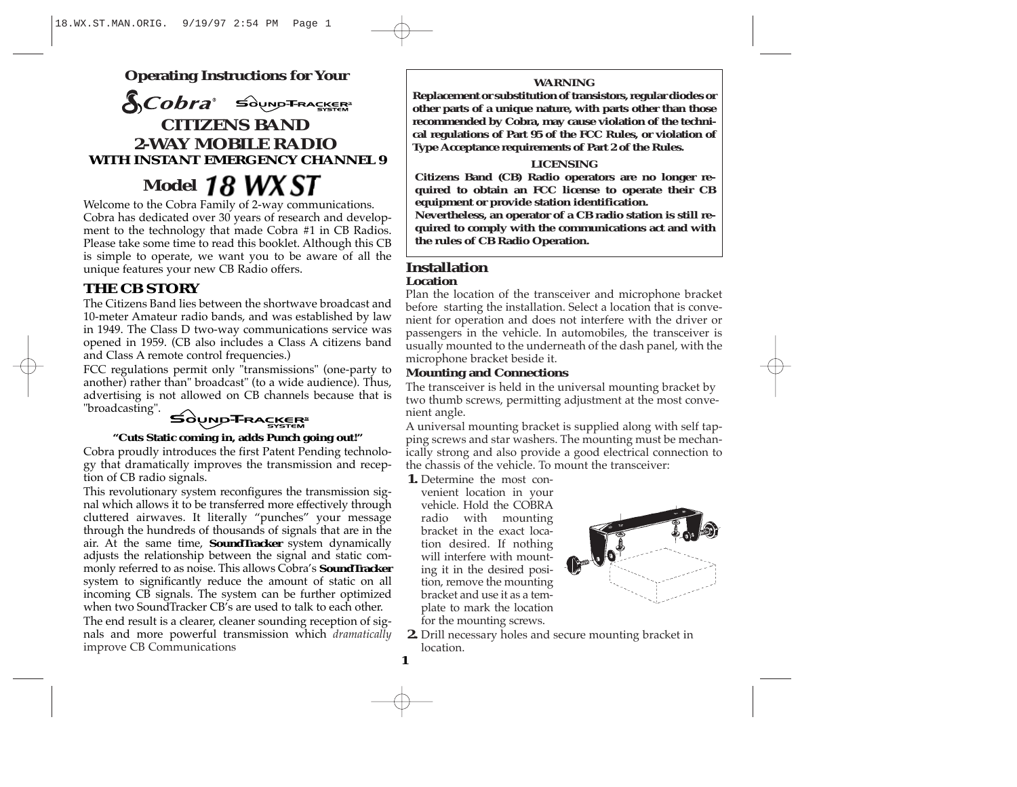**Operating Instructions for Your**

**SCobra** Sound TRACKER **CITIZENS BAND 2-WAY MOBILE RADIO WITH INSTANT EMERGENCY CHANNEL 9**

**Model** 

Welcome to the Cobra Family of 2-way communications. Cobra has dedicated over 30 years of research and development to the technology that made Cobra #1 in CB Radios. Please take some time to read this booklet. Although this CB is simple to operate, we want you to be aware of all the unique features your new CB Radio offers.

# **THE CB STORY**

The Citizens Band lies between the shortwave broadcast and 10-meter Amateur radio bands, and was established by law in 1949. The Class D two-way communications service was opened in 1959. (CB also includes a Class A citizens band and Class A remote control frequencies.)

FCC regulations permit only "transmissions" (one-party to another) rather than" broadcast" (to a wide audience). Thus, advertising is not allowed on CB channels because that is "broadcasting".

# **SOUND-T-RACKER**

#### **"Cuts Static coming in, adds Punch going out!"**

Cobra proudly introduces the first Patent Pending technology that dramatically improves the transmission and reception of CB radio signals.

This revolutionary system reconfigures the transmission signal which allows it to be transferred more effectively through cluttered airwaves. It literally "punches" your message through the hundreds of thousands of signals that are in the air. At the same time, **SoundTracker** system dynamically adjusts the relationship between the signal and static commonly referred to as noise. This allows Cobra's **SoundTracker** system to significantly reduce the amount of static on all incoming CB signals. The system can be further optimized when two SoundTracker CB's are used to talk to each other. The end result is a clearer, cleaner sounding reception of sig-

nals and more powerful transmission which *dramatically* improve CB Communications

### **WARNING**

**Replacement or substitution of transistors, regular diodes or other parts of a unique nature, with parts other than those recommended by Cobra, may cause violation of the technical regulations of Part 95 of the FCC Rules, or violation of Type Acceptance requirements of Part 2 of the Rules.**

#### **LICENSING**

**Citizens Band (CB) Radio operators are no longer required to obtain an FCC license to operate their CB equipment or provide station identification. Nevertheless, an operator of a CB radio station is still required to comply with the communications act and with the rules of CB Radio Operation.**

#### **Installation Location**

Plan the location of the transceiver and microphone bracket before starting the installation. Select a location that is convenient for operation and does not interfere with the driver or passengers in the vehicle. In automobiles, the transceiver is usually mounted to the underneath of the dash panel, with the microphone bracket beside it.

### **Mounting and Connections**

The transceiver is held in the universal mounting bracket by two thumb screws, permitting adjustment at the most convenient angle.

<sup>A</sup> universal mounting bracket is supplied along with self tapping screws and star washers. The mounting must be mechanically strong and also provide a good electrical connection to the chassis of the vehicle. To mount the transceiver:

**1.** Determine the most convenient location in your vehicle. Hold the COBRA radio with mounting bracket in the exact location desired. If nothing will interfere with mounting it in the desired position, remove the mounting bracket and use it as a template to mark the location for the mounting screws.



**2.** Drill necessary holes and secure mounting bracket in location.

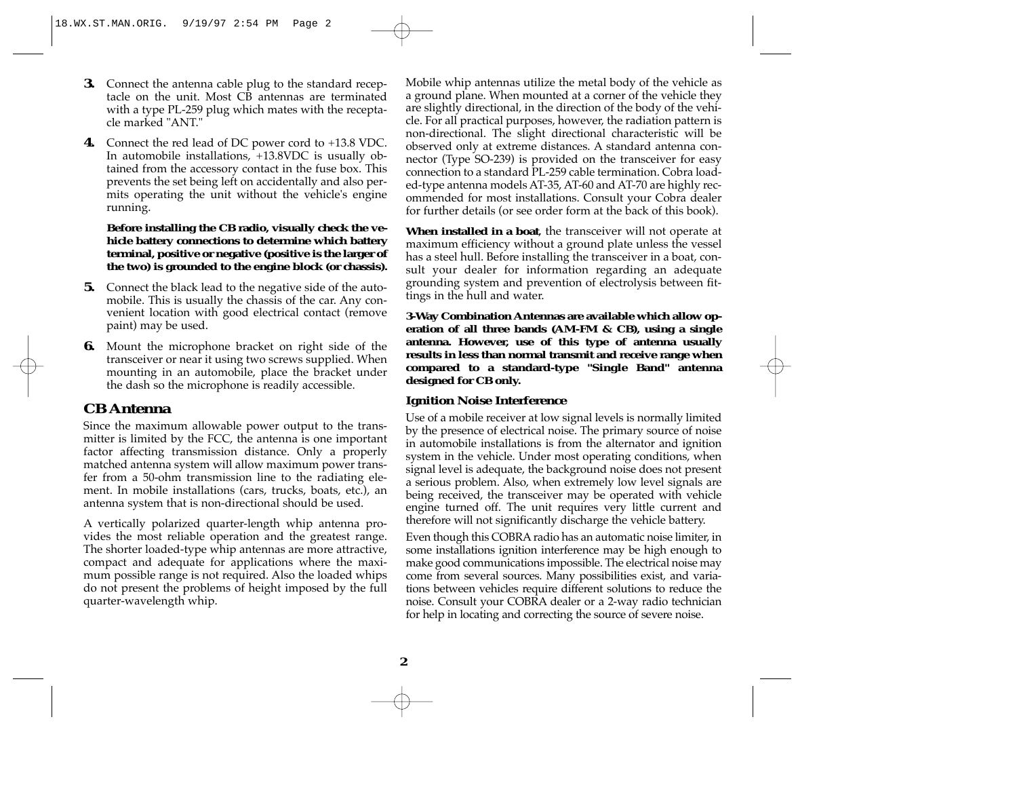- **3.** Connect the antenna cable plug to the standard receptacle on the unit. Most CB antennas are terminated with a type PL-259 plug which mates with the receptacle marked "ANT."
- **4.** Connect the red lead of DC power cord to +13.8 VDC. In automobile installations, +13.8VDC is usually obtained from the accessory contact in the fuse box. This prevents the set being left on accidentally and also permits operating the unit without the vehicle's engine running.

**Before installing the CB radio, visually check the vehicle battery connections to determine which battery terminal, positive or negative (positive is the larger of the two) is grounded to the engine block (or chassis).**

- **5.** Connect the black lead to the negative side of the automobile. This is usually the chassis of the car. Any convenient location with good electrical contact (remove paint) may be used.
- **6.** Mount the microphone bracket on right side of the transceiver or near it using two screws supplied. When mounting in an automobile, place the bracket under the dash so the microphone is readily accessible.

## **CB Antenna**

Since the maximum allowable power output to the transmitter is limited by the FCC, the antenna is one important factor affecting transmission distance. Only a properly matched antenna system will allow maximum power transfer from a 50-ohm transmission line to the radiating element. In mobile installations (cars, trucks, boats, etc.), an antenna system that is non-directional should be used.

<sup>A</sup> vertically polarized quarter-length whip antenna provides the most reliable operation and the greatest range. The shorter loaded-type whip antennas are more attractive, compact and adequate for applications where the maximum possible range is not required. Also the loaded whips do not present the problems of height imposed by the full quarter-wavelength whip.

Mobile whip antennas utilize the metal body of the vehicle as a ground plane. When mounted at a corner of the vehicle they are slightly directional, in the direction of the body of the vehicle. For all practical purposes, however, the radiation pattern is non-directional. The slight directional characteristic will be observed only at extreme distances. A standard antenna connector (Type SO-239) is provided on the transceiver for easy connection to a standard PL-259 cable termination. Cobra loaded-type antenna models AT-35, AT-60 and AT-70 are highly recommended for most installations. Consult your Cobra dealer for further details (or see order form at the back of this book).

**When installed in a boat**, the transceiver will not operate at maximum efficiency without a ground plate unless the vessel has a steel hull. Before installing the transceiver in a boat, consult your dealer for information regarding an adequate grounding system and prevention of electrolysis between fittings in the hull and water.

**3-Way Combination Antennas are available which allow operation of all three bands (AM-FM & CB), using a single antenna. However, use of this type of antenna usually results in less than normal transmit and receive range when compared to a standard-type "Single Band" antenna designed for CB only.**

#### **Ignition Noise Interference**

Use of a mobile receiver at low signal levels is normally limited by the presence of electrical noise. The primary source of noise in automobile installations is from the alternator and ignition system in the vehicle. Under most operating conditions, when signal level is adequate, the background noise does not present a serious problem. Also, when extremely low level signals are being received, the transceiver may be operated with vehicle engine turned off. The unit requires very little current and therefore will not significantly discharge the vehicle battery.

Even though this COBRA radio has an automatic noise limiter, in some installations ignition interference may be high enough to make good communications impossible. The electrical noise may come from several sources. Many possibilities exist, and variations between vehicles require different solutions to reduce the noise. Consult your COBRA dealer or a 2-way radio technician for help in locating and correcting the source of severe noise.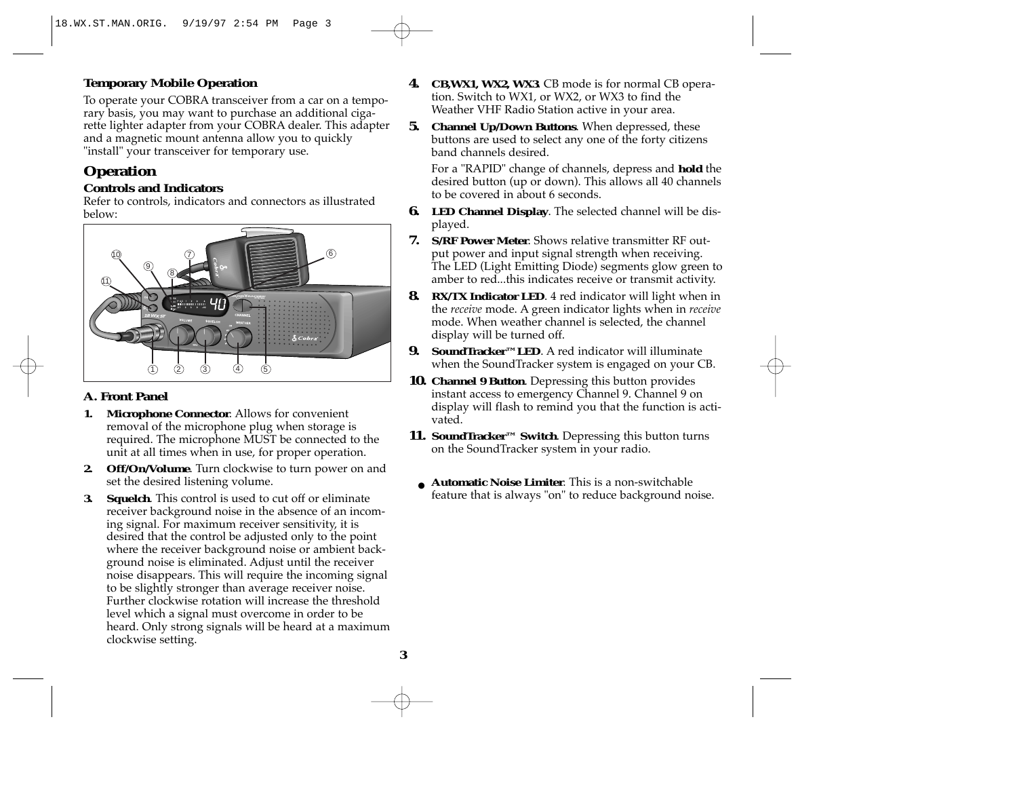# **Temporary Mobile Operation**

To operate your COBRA transceiver from a car on a temporary basis, you may want to purchase an additional cigarette lighter adapter from your COBRA dealer. This adapter and a magnetic mount antenna allow you to quickly "install" your transceiver for temporary use.

# **Operation**

### **Controls and Indicators**

Refer to controls, indicators and connectors as illustrated below:



# **A. Front Panel**

- **1. Microphone Connector**. Allows for convenient removal of the microphone plug when storage is required. The microphone MUST be connected to the unit at all times when in use, for proper operation.
- **2. Off/On/Volume**. Turn clockwise to turn power on and set the desired listening volume.
- **3. Squelch**. This control is used to cut off or eliminate receiver background noise in the absence of an incoming signal. For maximum receiver sensitivity, it is desired that the control be adjusted only to the point where the receiver background noise or ambient background noise is eliminated. Adjust until the receiver noise disappears. This will require the incoming signal to be slightly stronger than average receiver noise. Further clockwise rotation will increase the threshold level which a signal must overcome in order to be heard. Only strong signals will be heard at a maximum clockwise setting.
- **4. CB,WX1, WX2, WX3**. CB mode is for normal CB operation. Switch to WX1, or WX2, or WX3 to find the Weather VHF Radio Station active in your area.
- **5. Channel Up/Down Buttons**. When depressed, these buttons are used to select any one of the forty citizens band channels desired.

For a "RAPID" change of channels, depress and **hold** the desired button (up or down). This allows all 40 channels to be covered in about 6 seconds.

- **6. LED Channel Display**. The selected channel will be displayed.
- **7. S/RF Power Meter**. Shows relative transmitter RF output power and input signal strength when receiving. The LED (Light Emitting Diode) segments glow green to amber to red...this indicates receive or transmit activity.
- **8. RX/TX Indicator LED**. 4 red indicator will light when in the *receive* mode. <sup>A</sup> green indicator lights when in *receive* mode. When weather channel is selected, the channel display will be turned off.
- **9. SoundTracker™LED**. A red indicator will illuminate when the SoundTracker system is engaged on your CB.
- **10. Channel 9 Button**. Depressing this button provides instant access to emergency Channel 9. Channel 9 on display will flash to remind you that the function is activated.
- **11. SoundTracker™ Switch**. Depressing this button turns on the SoundTracker system in your radio.
- **Automatic Noise Limiter**. This is a non-switchable feature that is always "on" to reduce background noise.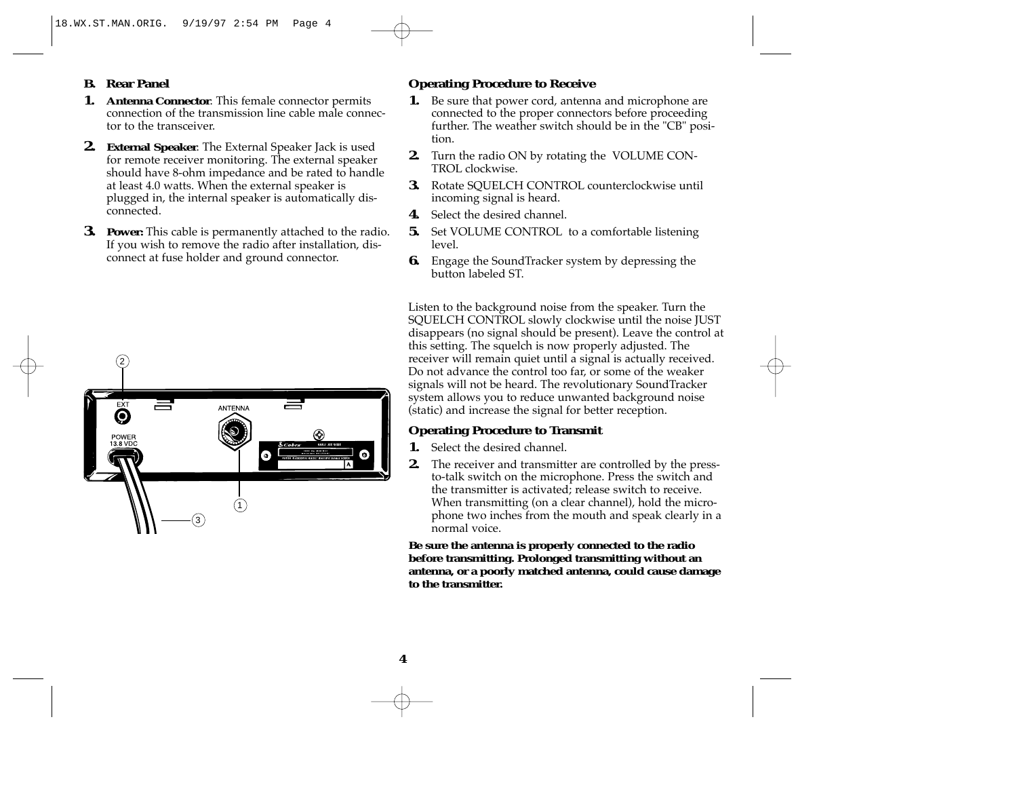## **B. Rear Panel**

- **1. Antenna Connector**. This female connector permits connection of the transmission line cable male connector to the transceiver.
- **2. External Speaker**. The External Speaker Jack is used for remote receiver monitoring. The external speaker should have 8-ohm impedance and be rated to handle at least 4.0 watts. When the external speaker is plugged in, the internal speaker is automatically disconnected.
- **3. Power:** This cable is permanently attached to the radio. If you wish to remove the radio after installation, disconnect at fuse holder and ground connector.



## **Operating Procedure to Receive**

- **1.** Be sure that power cord, antenna and microphone are connected to the proper connectors before proceeding further. The weather switch should be in the "CB" position.
- **2.** Turn the radio ON by rotating the VOLUME CON-TROL clockwise.
- **3.** Rotate SOUELCH CONTROL counterclockwise until incoming signal is heard.
- **4.** Select the desired channel.
- **5.** Set VOLUME CONTROL to a comfortable listening level.
- **6.** Engage the SoundTracker system by depressing the button labeled ST.

Listen to the background noise from the speaker. Turn the SQUELCH CONTROL slowly clockwise until the noise JUST disappears (no signal should be present). Leave the control at this setting. The squelch is now properly adjusted. The receiver will remain quiet until a signal is actually received. Do not advance the control too far, or some of the weaker signals will not be heard. The revolutionary SoundTracker system allows you to reduce unwanted background noise (static) and increase the signal for better reception.

# **Operating Procedure to Transmit**

- **1.** Select the desired channel.
- **2.** The receiver and transmitter are controlled by the pressto-talk switch on the microphone. Press the switch and the transmitter is activated; release switch to receive. When transmitting (on a clear channel), hold the microphone two inches from the mouth and speak clearly in a normal voice.

**Be sure the antenna is properly connected to the radio before transmitting. Prolonged transmitting without an antenna, or a poorly matched antenna, could cause damage to the transmitter.**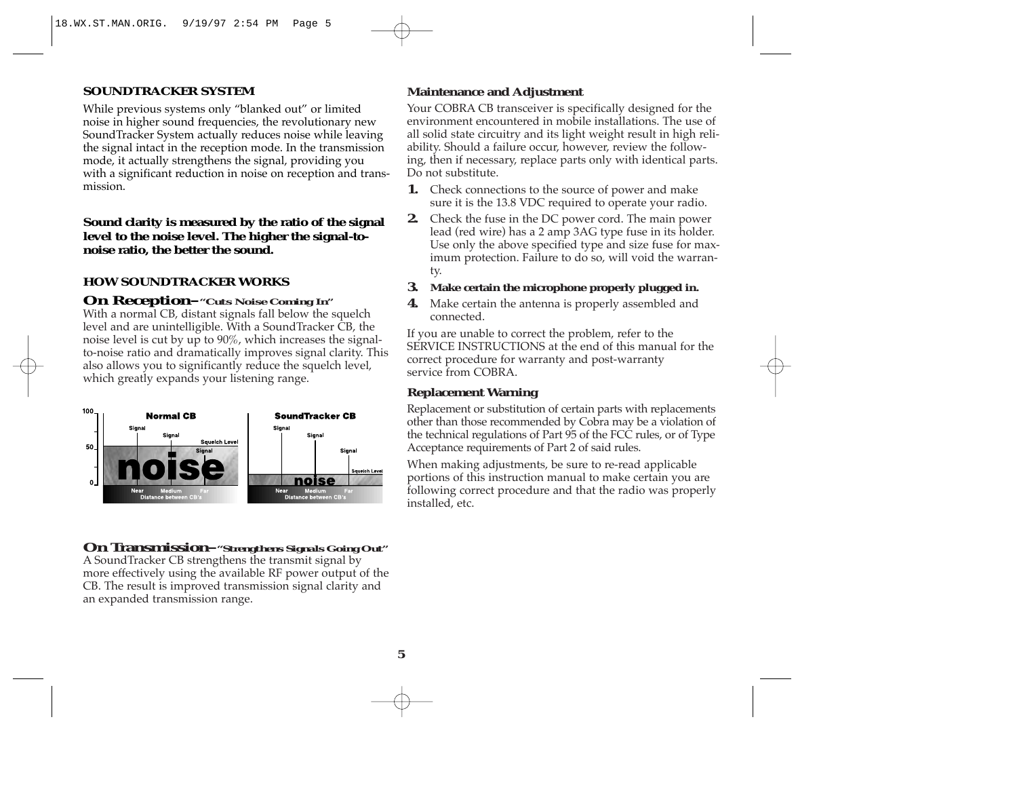#### **SOUNDTRACKER SYSTEM**

While previous systems only "blanked out" or limited noise in higher sound frequencies, the revolutionary new SoundTracker System actually reduces noise while leaving the signal intact in the reception mode. In the transmission mode, it actually strengthens the signal, providing you with a significant reduction in noise on reception and transmission.

**Sound clarity is measured by the ratio of the signal level to the noise level. The higher the signal-tonoise ratio, the better the sound.**

### **HOW SOUNDTRACKER WORKS**

#### **On Reception–***"Cuts Noise Coming In"*

With a normal CB, distant signals fall below the squelch level and are unintelligible. With a SoundTracker CB, the noise level is cut by up to 90%, which increases the signalto-noise ratio and dramatically improves signal clarity. This also allows you to significantly reduce the squelch level, which greatly expands your listening range.



**On Transmission–***"Strengthens Signals Going Out"* <sup>A</sup> SoundTracker CB strengthens the transmit signal by

more effectively using the available RF power output of the CB. The result is improved transmission signal clarity and an expanded transmission range.

### **Maintenance and Adjustment**

Your COBRA CB transceiver is specifically designed for the environment encountered in mobile installations. The use of all solid state circuitry and its light weight result in high reliability. Should a failure occur, however, review the following, then if necessary, replace parts only with identical parts. Do not substitute.

- **1.** Check connections to the source of power and make sure it is the 13.8 VDC required to operate your radio.
- **2.** Check the fuse in the DC power cord. The main power lead (red wire) has a 2 amp 3AG type fuse in its holder. Use only the above specified type and size fuse for maximum protection. Failure to do so, will void the warranty.
- **3. Make certain the microphone properly plugged in.**
- **4.** Make certain the antenna is properly assembled and connected.

If you are unable to correct the problem, refer to the SERVICE INSTRUCTIONS at the end of this manual for the correct procedure for warranty and post-warranty service from COBRA.

#### **Replacement Warning**

Replacement or substitution of certain parts with replacements other than those recommended by Cobra may be a violation of the technical regulations of Part 95 of the FCC rules, or of Type Acceptance requirements of Part 2 of said rules.

When making adjustments, be sure to re-read applicable portions of this instruction manual to make certain you are following correct procedure and that the radio was properly installed, etc.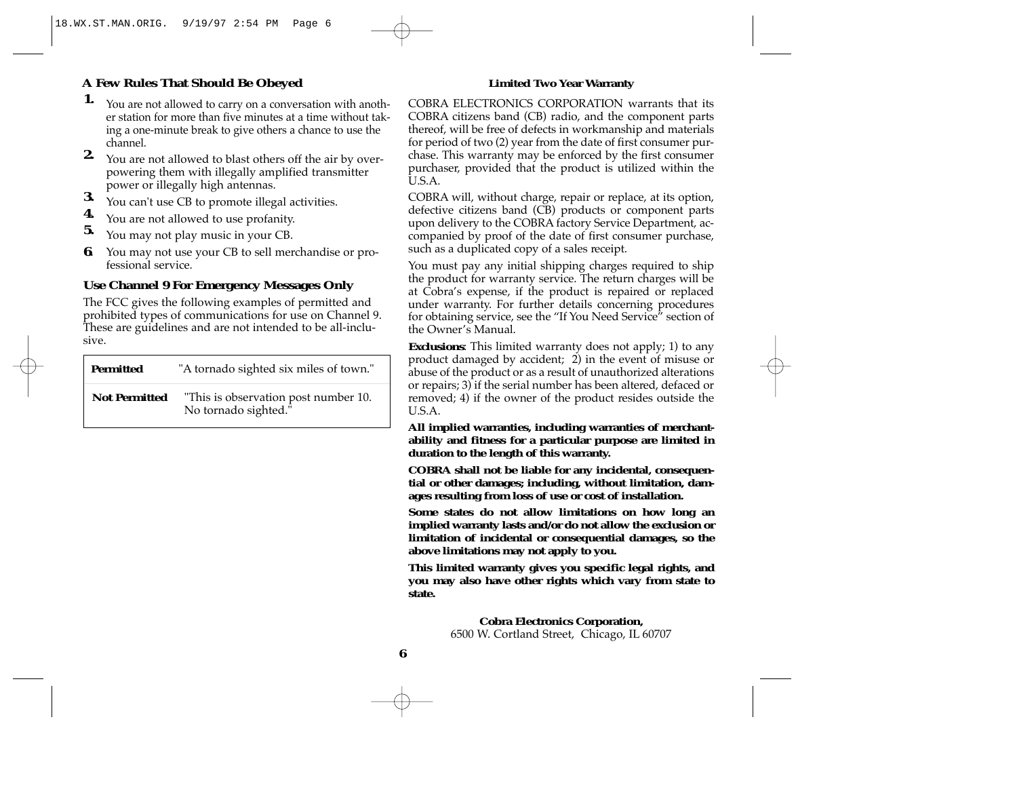# **A Few Rules That Should Be Obeyed**

- **1.** You are not allowed to carry on a conversation with another station for more than five minutes at a time without taking a one-minute break to give others a chance to use the channel.
- **2.** You are not allowed to blast others off the air by overpowering them with illegally amplified transmitter
- **3.** You can't use CB to promote illegal activities. **4.** You are not allowed to use profanity. **5.** You may not play music in your CB.
- 
- 
- **6**. You may not use your CB to sell merchandise or professional service.

# **Use Channel 9 For Emergency Messages Only**

The FCC gives the following examples of permitted and prohibited types of communications for use on Channel 9. These are guidelines and are not intended to be all-inclusive.

| <b>Permitted</b>     | "A tornado sighted six miles of town."                       |  |  |
|----------------------|--------------------------------------------------------------|--|--|
| <b>Not Permitted</b> | "This is observation post number 10.<br>No tornado sighted." |  |  |

#### **Limited Two Year Warranty**

COBRA ELECTRONICS CORPORATION warrants that its COBRA citizens band (CB) radio, and the component parts thereof, will be free of defects in workmanship and materials for period of two (2) year from the date of first consumer purchase. This warranty may be enforced by the first consumer purchaser, provided that the product is utilized within the U.S.A.

COBRA will, without charge, repair or replace, at its option, defective citizens band (CB) products or component parts upon delivery to the COBRA factory Service Department, accompanied by proof of the date of first consumer purchase, such as a duplicated copy of a sales receipt.

You must pay any initial shipping charges required to ship the product for warranty service. The return charges will be at Cobra's expense, if the product is repaired or replaced under warranty. For further details concerning procedures for obtaining service, see the "If You Need Service" section of the Owner's Manual.

**Exclusions**: This limited warranty does not apply; 1) to any product damaged by accident; 2) in the event of misuse or abuse of the product or as a result of unauthorized alterations or repairs; 3) if the serial number has been altered, defaced or removed; 4) if the owner of the product resides outside the U.S.A.

**All implied warranties, including warranties of merchantability and fitness for a particular purpose are limited in duration to the length of this warranty.**

**COBRA shall not be liable for any incidental, consequential or other damages; including, without limitation, damages resulting from loss of use or cost of installation.**

**Some states do not allow limitations on how long an implied warranty lasts and/or do not allow the exclusion or limitation of incidental or consequential damages, so the above limitations may not apply to you.**

**This limited warranty gives you specific legal rights, and you may also have other rights which vary from state to state.**

> **Cobra Electronics Corporation,**  6500 W. Cortland Street, Chicago, IL <sup>60707</sup>

**6**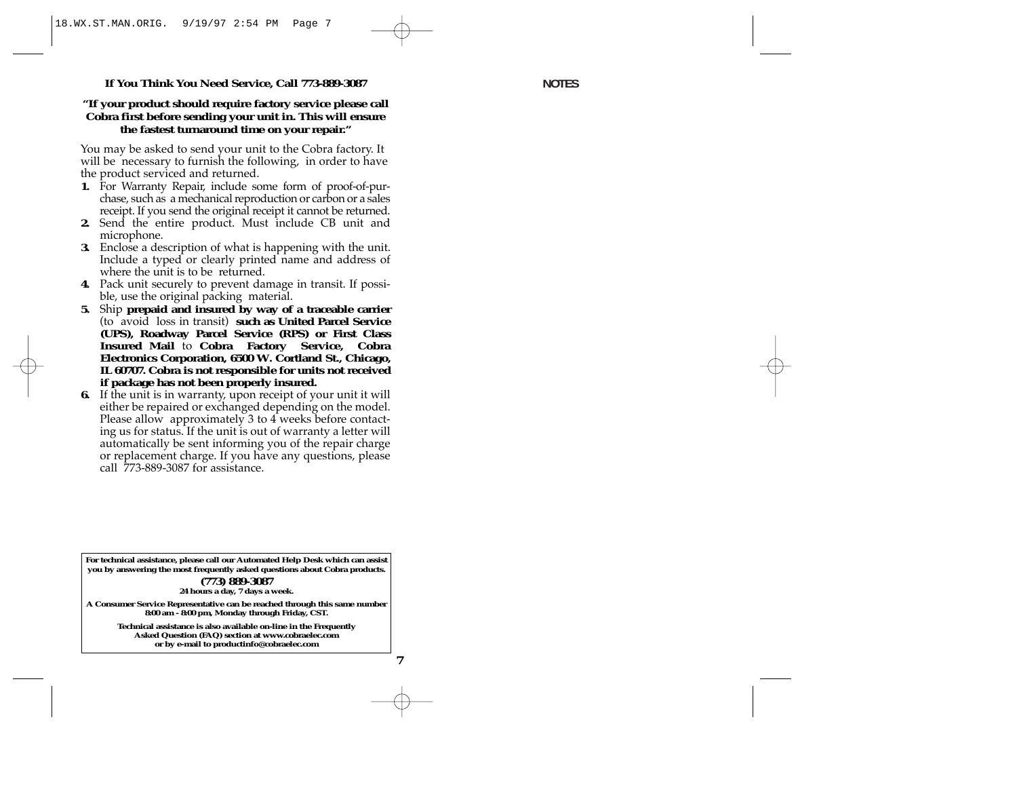#### **If You Think You Need Service, Call 773-889-3087**

#### **"If your product should require factory service please call Cobra first before sending your unit in. This will ensure the fastest turnaround time on your repair."**

You may be asked to send your unit to the Cobra factory. It will be necessary to furnish the following, in order to have the product serviced and returned.

- **1.** For Warranty Repair, include some form of proof-of-purchase, such as a mechanical reproduction or carbon or a sales receipt. If you send the original receipt it cannot be returned.
- **2.** Send the entire product. Must include CB unit and microphone.
- **3.** Enclose a description of what is happening with the unit. Include a typed or clearly printed name and address of where the unit is to be returned.
- **4.** Pack unit securely to prevent damage in transit. If possible, use the original packing material.
- **5.** Ship **prepaid and insured by way of a traceable carrier**  (to avoid loss in transit) **such as United Parcel Service (UPS), Roadway Parcel Service (RPS) or First Class Insured Mail** to **Cobra Factory Service, Cobra Electronics Corporation, 6500 W. Cortland St., Chicago, IL 60707. Cobra is not responsible for units not received if package has not been properly insured.**
- **6.** If the unit is in warranty, upon receipt of your unit it will either be repaired or exchanged depending on the model. Please allow approximately 3 to 4 weeks before contacting us for status. If the unit is out of warranty a letter will automatically be sent informing you of the repair charge or replacement charge. If you have any questions, please call 773-889-3087 for assistance.

**For technical assistance, please call our Automated Help Desk which can assist you by answering the most frequently asked questions about Cobra products. (773) 889-3087 24 hours a day, 7 days a week.** 

**A Consumer Service Representative can be reached through this same number 8:00 am - 8:00 pm, Monday through Friday, CST.**

> **Technical assistance is also available on-line in the Frequently Asked Question (FAQ) section at www.cobraelec.com or by e-mail to productinfo@cobraelec.com**

> > **7**

**NOTES**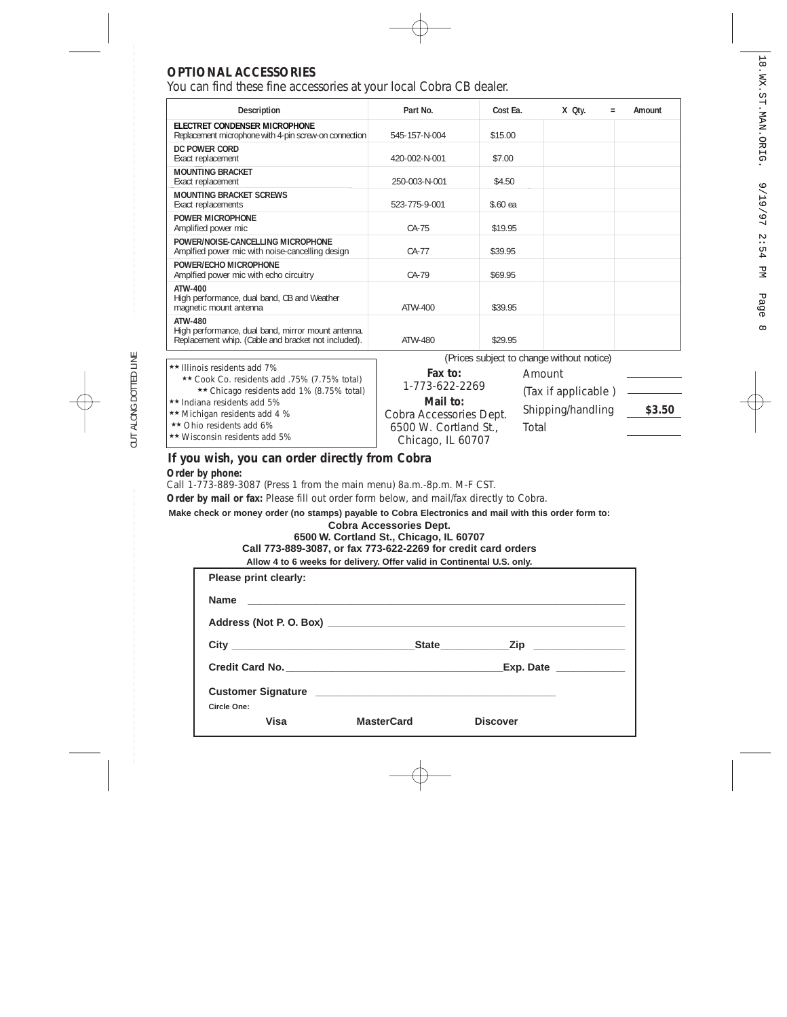# **OPTIONAL ACCESSORIES**

CUT ALONG DOTTED LINE

CUT ALONG DOTTED LINE

You can find these fine accessories at your local Cobra CB dealer.

| <b>Description</b>                                                                                                   | Part No.                                  | Cost Ea.                                                                          | X Qty. | $\qquad \qquad =$ | Amount |
|----------------------------------------------------------------------------------------------------------------------|-------------------------------------------|-----------------------------------------------------------------------------------|--------|-------------------|--------|
| ELECTRET CONDENSER MICROPHONE<br>Replacement microphone with 4-pin screw-on connection                               | 545-157-N-004                             | \$15.00                                                                           |        |                   |        |
| DC POWER CORD                                                                                                        |                                           |                                                                                   |        |                   |        |
| Exact replacement                                                                                                    | 420-002-N-001                             | \$7.00                                                                            |        |                   |        |
| <b>MOUNTING BRACKET</b><br>Exact replacement                                                                         | 250-003-N-001                             | \$4.50                                                                            |        |                   |        |
| <b>MOUNTING BRACKET SCREWS</b><br>Exact replacements                                                                 | 523-775-9-001                             | \$.60 ea                                                                          |        |                   |        |
| POWER MICROPHONE<br>Amplified power mic                                                                              | CA-75                                     | \$19.95                                                                           |        |                   |        |
| POWER/NOISE-CANCELLING MICROPHONE<br>Amplfied power mic with noise-cancelling design                                 | $CA-77$                                   | \$39.95                                                                           |        |                   |        |
| POWER/ECHO MICROPHONE<br>Amplfied power mic with echo circuitry                                                      | $CA-79$                                   | \$69.95                                                                           |        |                   |        |
| ATW-400<br>High performance, dual band, CB and Weather<br>magnetic mount antenna                                     | ATW-400                                   | \$39.95                                                                           |        |                   |        |
| ATW-480<br>High performance, dual band, mirror mount antenna.<br>Replacement whip. (Cable and bracket not included). | ATW-480                                   | \$29.95                                                                           |        |                   |        |
|                                                                                                                      | (Prices subject to change without notice) |                                                                                   |        |                   |        |
| ** Illinois residents add 7%                                                                                         |                                           | $\Gamma_{\alpha\lambda\lambda}$ $\Gamma_{\alpha\lambda}$ $\Gamma_{\alpha\lambda}$ |        |                   |        |

**Fax to:**  1-773-622-2269 **Mail to:** Cobra Accessories Dept. 6500 W. Cortland St., Chicago, IL 60707 ★★ Cook Co. residents add .75% (7.75% total) ★★ Chicago residents add 1% (8.75% total) ★★ Indiana residents add 5% ★★ Michigan residents add 4 % ★★ Ohio residents add 6% ★★ Wisconsin residents add 5% Amount (Tax if applicable ) Shipping/handling **\$3.50** Total

### **If you wish, you can order directly from Cobra Order by phone:**

Call 1-773-889-3087 (Press 1 from the main menu) 8a.m.-8p.m. M-F CST.

Order by mail or fax: Please fill out order form below, and mail/fax directly to Cobra.

**Make check or money order (no stamps) payable to Cobra Electronics and mail with this order form to:**

## **Cobra Accessories Dept. 6500 W. Cortland St., Chicago, IL 60707**

**Call 773-889-3087, or fax 773-622-2269 for credit card orders Allow 4 to 6 weeks for delivery. Offer valid in Continental U.S. only.**

| Please print clearly: |                   |                      |  |
|-----------------------|-------------------|----------------------|--|
| <b>Name</b>           |                   |                      |  |
|                       |                   |                      |  |
|                       |                   | State <u>Zip</u> Zip |  |
|                       |                   | Exp. Date            |  |
|                       |                   |                      |  |
| Circle One:<br>Visa   | <b>MasterCard</b> | <b>Discover</b>      |  |
|                       |                   |                      |  |